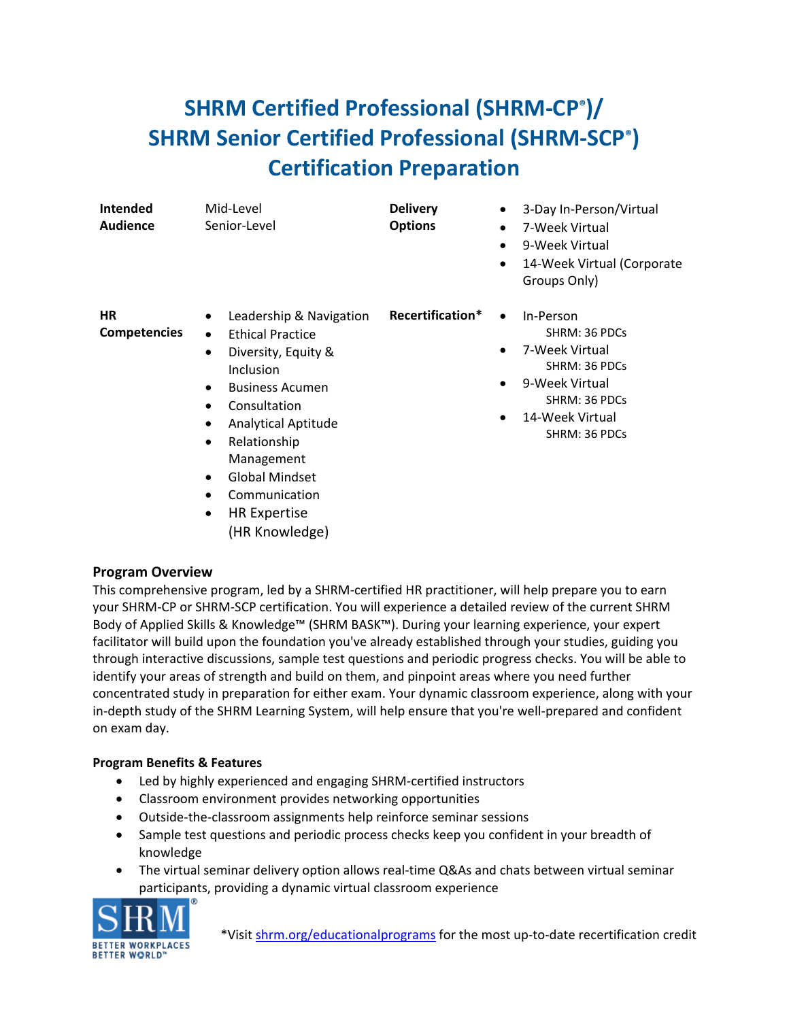## **SHRM Certified Professional (SHRM-CP®)/ SHRM Senior Certified Professional (SHRM-SCP®) Certification Preparation**

| <b>Intended</b><br><b>Audience</b> | Mid-Level<br>Senior-Level                                                                                                                                                                                                                                                                                                     | <b>Delivery</b><br><b>Options</b> | 3-Day In-Person/Virtual<br>$\bullet$<br>7-Week Virtual<br>$\bullet$<br>9-Week Virtual<br>$\bullet$<br>14-Week Virtual (Corporate<br>$\bullet$<br>Groups Only)                    |
|------------------------------------|-------------------------------------------------------------------------------------------------------------------------------------------------------------------------------------------------------------------------------------------------------------------------------------------------------------------------------|-----------------------------------|----------------------------------------------------------------------------------------------------------------------------------------------------------------------------------|
| <b>HR</b><br><b>Competencies</b>   | Leadership & Navigation<br>٠<br><b>Ethical Practice</b><br>$\bullet$<br>Diversity, Equity &<br>٠<br>Inclusion<br><b>Business Acumen</b><br>٠<br>Consultation<br><b>Analytical Aptitude</b><br>٠<br>Relationship<br>٠<br>Management<br><b>Global Mindset</b><br>$\bullet$<br>Communication<br>$\bullet$<br><b>HR Expertise</b> | Recertification*                  | In-Person<br>$\bullet$<br>SHRM: 36 PDCs<br>7-Week Virtual<br>$\bullet$<br>SHRM: 36 PDCs<br>9-Week Virtual<br>$\bullet$<br>SHRM: 36 PDCs<br>14-Week Virtual<br>٠<br>SHRM: 36 PDCs |

## **Program Overview**

This comprehensive program, led by a SHRM-certified HR practitioner, will help prepare you to earn your SHRM-CP or SHRM-SCP certification. You will experience a detailed review of the current SHRM Body of Applied Skills & Knowledge™ (SHRM BASK™). During your learning experience, your expert facilitator will build upon the foundation you've already established through your studies, guiding you through interactive discussions, sample test questions and periodic progress checks. You will be able to identify your areas of strength and build on them, and pinpoint areas where you need further concentrated study in preparation for either exam. Your dynamic classroom experience, along with your in-depth study of the SHRM Learning System, will help ensure that you're well-prepared and confident on exam day.

## **Program Benefits & Features**

- Led by highly experienced and engaging SHRM-certified instructors
- Classroom environment provides networking opportunities

(HR Knowledge)

- Outside-the-classroom assignments help reinforce seminar sessions
- Sample test questions and periodic process checks keep you confident in your breadth of knowledge
- The virtual seminar delivery option allows real-time Q&As and chats between virtual seminar participants, providing a dynamic virtual classroom experience